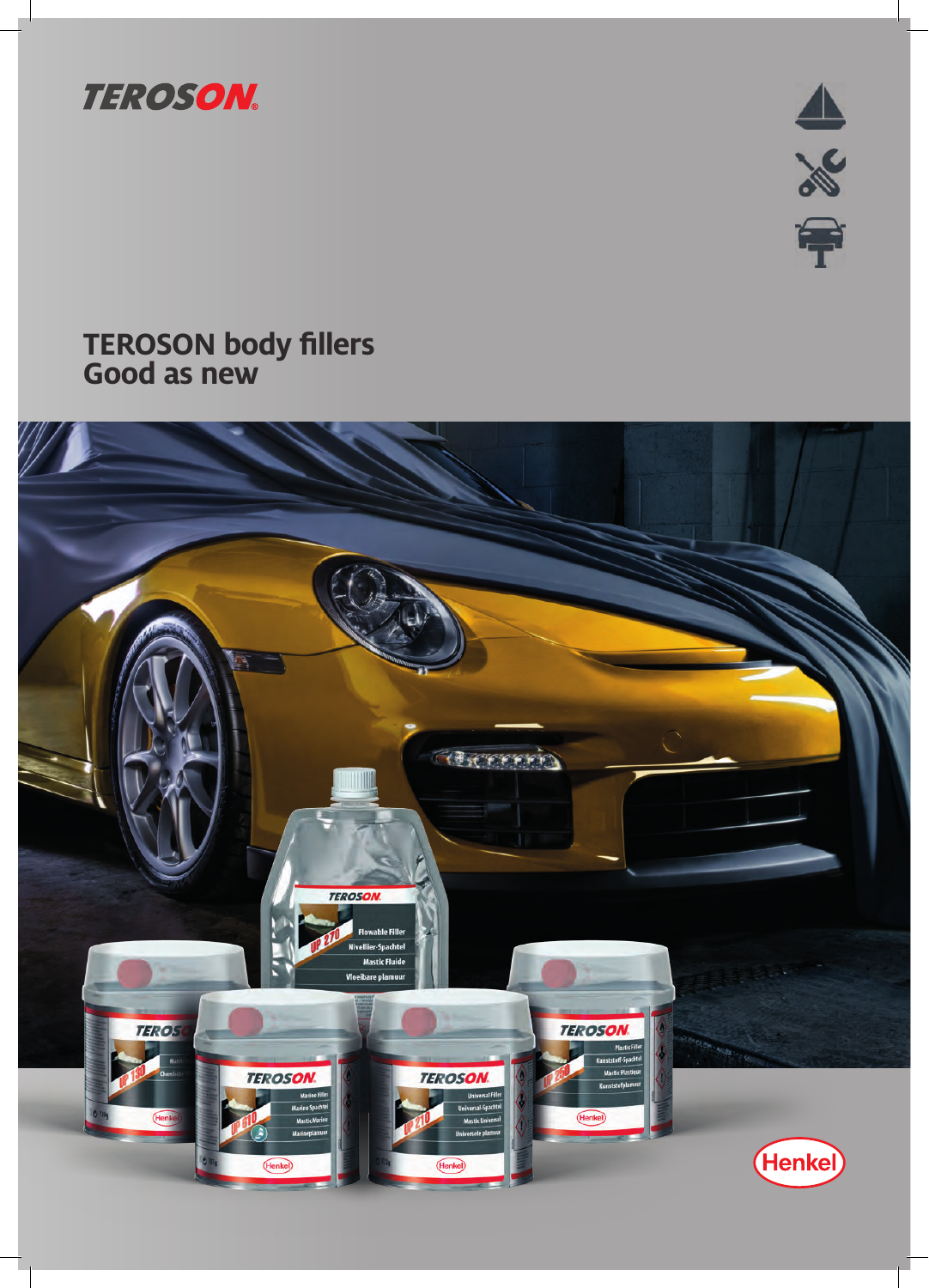

山ぷ

# **TEROSON body fillers Good as new**

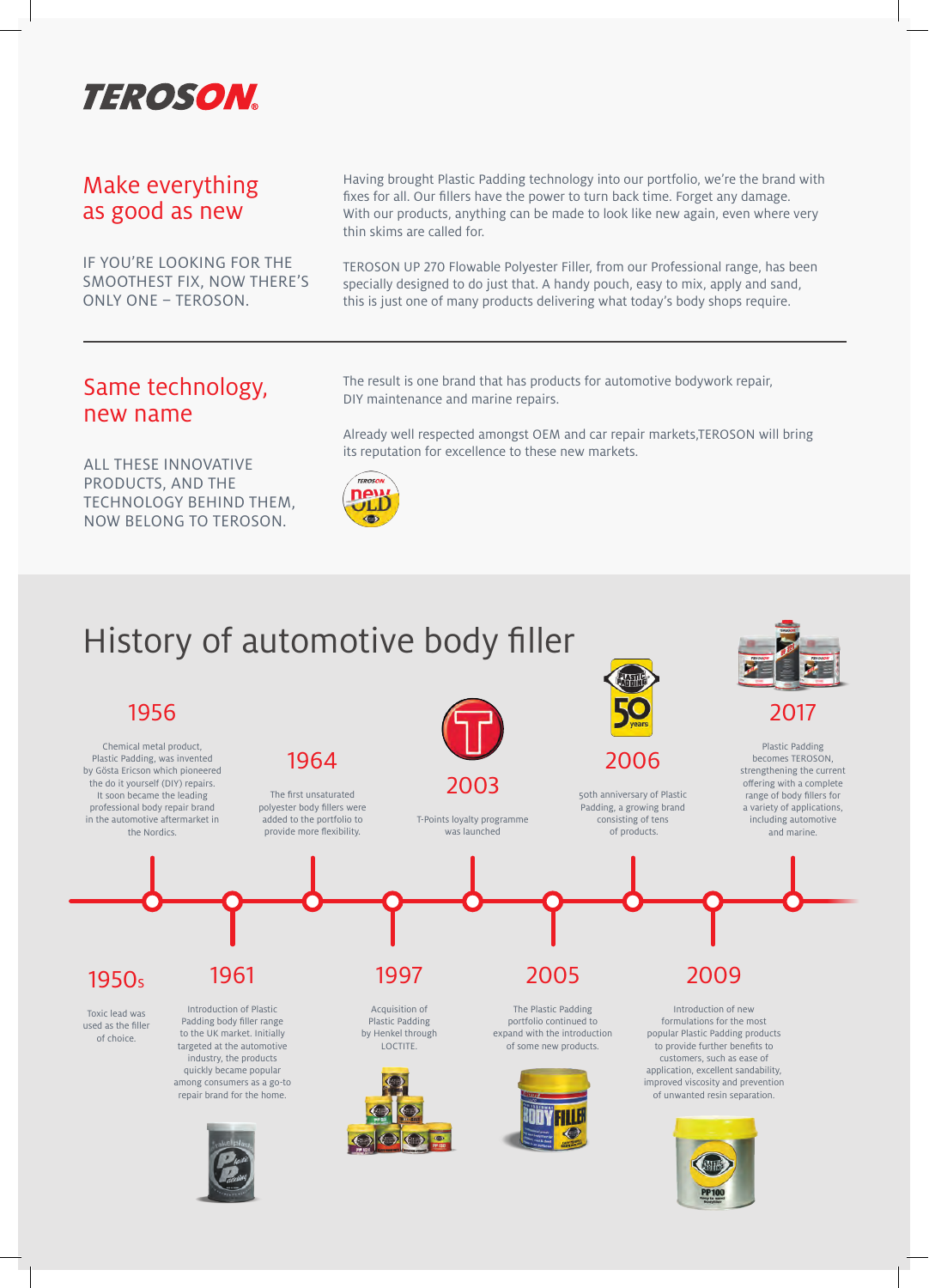

### Make everything as good as new

IF YOU'RE LOOKING FOR THE SMOOTHEST FIX, NOW THERE'S ONLY ONE – TEROSON.

Having brought Plastic Padding technology into our portfolio, we're the brand with fixes for all. Our fillers have the power to turn back time. Forget any damage. With our products, anything can be made to look like new again, even where very thin skims are called for.

TEROSON UP 270 Flowable Polyester Filler, from our Professional range, has been specially designed to do just that. A handy pouch, easy to mix, apply and sand, this is just one of many products delivering what today's body shops require.

### Same technology, new name

ALL THESE INNOVATIVE PRODUCTS, AND THE TECHNOLOGY BEHIND THEM, NOW BELONG TO TEROSON.

The result is one brand that has products for automotive bodywork repair, DIY maintenance and marine repairs.

Already well respected amongst OEM and car repair markets,TEROSON will bring its reputation for excellence to these new markets.



# History of automotive body filler

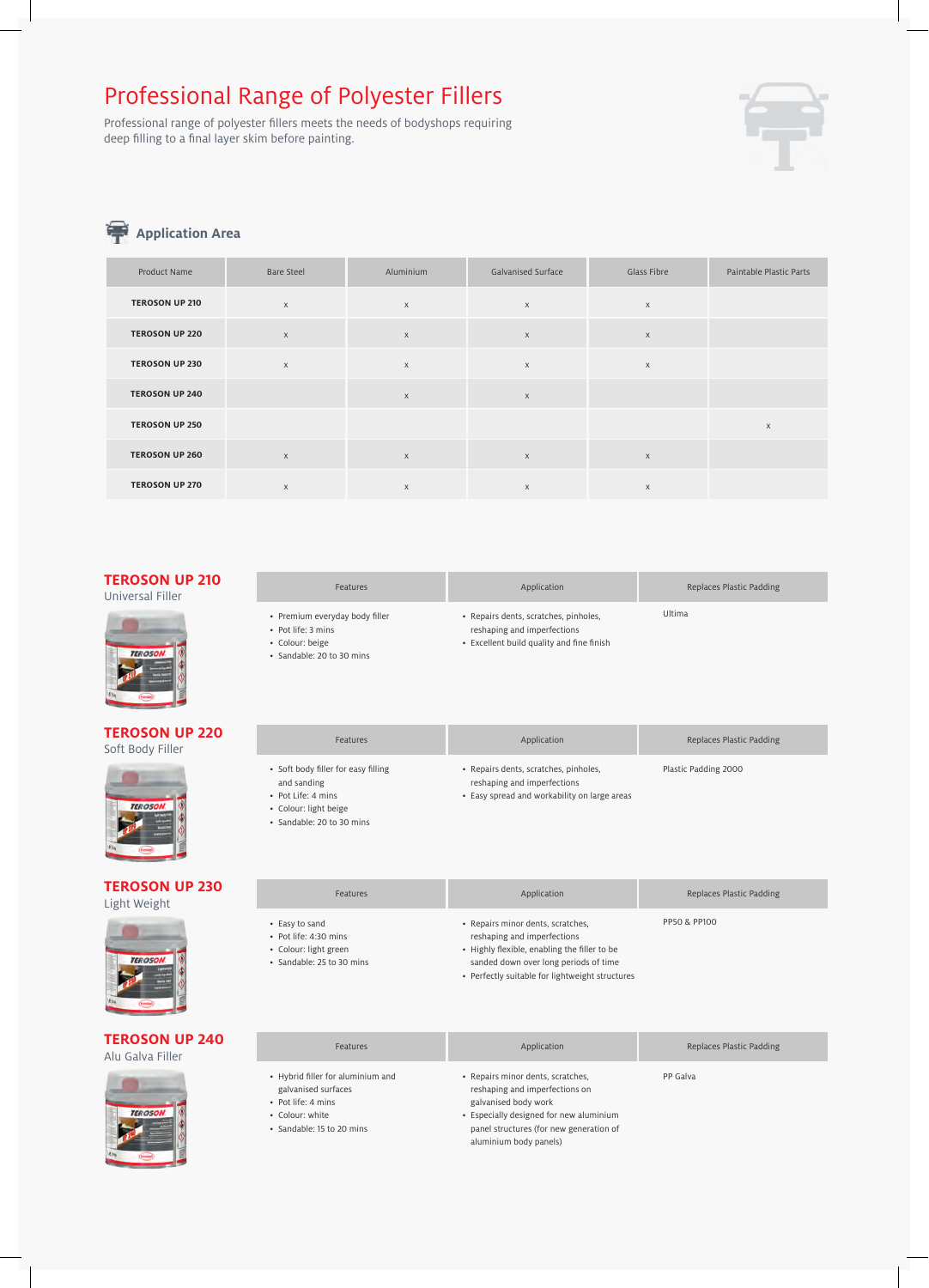### Professional Range of Polyester Fillers

Professional range of polyester fillers meets the needs of bodyshops requiring deep filling to a final layer skim before painting.



### **Application Area**

| Product Name          | <b>Bare Steel</b> | Aluminium                 | Galvanised Surface | Glass Fibre | Paintable Plastic Parts |
|-----------------------|-------------------|---------------------------|--------------------|-------------|-------------------------|
| <b>TEROSON UP 210</b> | $\times$          | $\times$                  | $\times$           | $\mathsf X$ |                         |
| <b>TEROSON UP 220</b> | $\mathsf X$       | $\mathsf X$               | $\mathsf X$        | $\mathsf X$ |                         |
| <b>TEROSON UP 230</b> | $\times$          | $\boldsymbol{\mathsf{X}}$ | $\times$           | $\mathsf X$ |                         |
| <b>TEROSON UP 240</b> |                   | $\mathsf X$               | $\mathsf X$        |             |                         |
| <b>TEROSON UP 250</b> |                   |                           |                    |             | $\times$                |
| <b>TEROSON UP 260</b> | $\mathsf X$       | $\boldsymbol{\mathsf{X}}$ | $\mathsf X$        | $\mathsf X$ |                         |
| <b>TEROSON UP 270</b> | $\times$          | $\times$                  | X                  | X           |                         |

#### **TEROSON UP 210** Universal Filler



#### **TEROSON UP 220** Soft Body Filler



#### **TEROSON UP 230** Light Weight



#### **TEROSON UP 240** Alu Galva Filler



| Ultima<br>• Repairs dents, scratches, pinholes,<br>• Premium everyday body filler | Features           | Application                 | Replaces Plastic Padding |  |
|-----------------------------------------------------------------------------------|--------------------|-----------------------------|--------------------------|--|
|                                                                                   | • Pot life: 3 mins | reshaping and imperfections |                          |  |

• Colour: beige • Sandable: 20 to 30 mins • Excellent build quality and fine finish

| <b>Features</b>                                                          | Application                                                                                                          | Replaces Plastic Padding |
|--------------------------------------------------------------------------|----------------------------------------------------------------------------------------------------------------------|--------------------------|
| • Soft body filler for easy filling<br>and sanding<br>• Pot Life: 4 mins | • Repairs dents, scratches, pinholes,<br>reshaping and imperfections<br>• Easy spread and workability on large areas | Plastic Padding 2000     |

• Colour: light beige

• Easy to sand • Pot life: 4:30 mins • Colour: light green • Sandable: 25 to 30 mins

• Sandable: 20 to 30 mins

#### Features **Application** Application **Application** Replaces Plastic Padding • Repairs minor dents, scratches, • reshaping and imperfections • Highly flexible, enabling the filler to be sanded down over long periods of time

PP50 & PP100

• Perfectly suitable for lightweight structures

| <b>Features</b>                                                                                                                | Application                                                                                                                                                                                                 | Replaces Plastic Padding |
|--------------------------------------------------------------------------------------------------------------------------------|-------------------------------------------------------------------------------------------------------------------------------------------------------------------------------------------------------------|--------------------------|
| • Hybrid filler for aluminium and<br>galvanised surfaces<br>• Pot life: 4 mins<br>• Colour: white<br>• Sandable: 15 to 20 mins | • Repairs minor dents, scratches,<br>reshaping and imperfections on<br>galvanised body work<br>• Especially designed for new aluminium<br>panel structures (for new generation of<br>aluminium body panels) | PP Galva                 |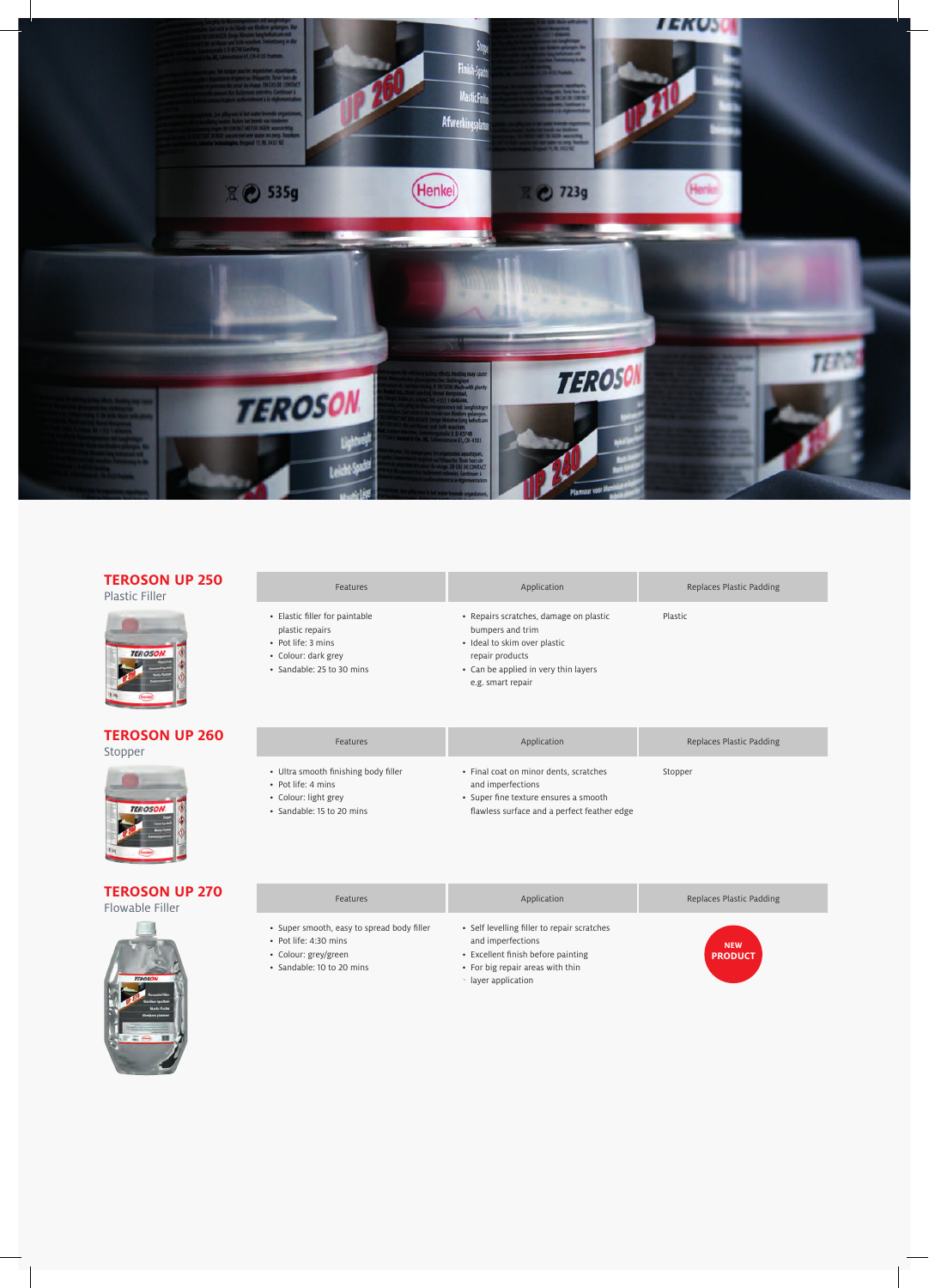

#### **TEROSON UP 250** Plastic Filler

| Plastic Filler |                                                                                                                             |                                                                                                                                                                            |         |
|----------------|-----------------------------------------------------------------------------------------------------------------------------|----------------------------------------------------------------------------------------------------------------------------------------------------------------------------|---------|
| <b>TEROSON</b> | • Elastic filler for paintable<br>plastic repairs<br>• Pot life: 3 mins<br>• Colour: dark grey<br>· Sandable: 25 to 30 mins | • Repairs scratches, damage on plastic<br>bumpers and trim<br>• Ideal to skim over plastic<br>repair products<br>• Can be applied in very thin layers<br>e.g. smart repair | Plastic |

#### **TEROSON UP 260** Stopper



| <b>TEROSON UP 270</b> |  |
|-----------------------|--|

Flowable Filler



- Super smooth, easy to spread body filler
- Pot life: 4:30 mins

• Ultra smooth finishing body filler

• Pot life: 4 mins • Colour: light grey • Sandable: 15 to 20 mins

- Colour: grey/green
- Sandable: 10 to 20 mins
- Self levelling filler to repair scratches and imperfections

Features **Application Application Application Replaces Plastic Padding** 

Features **Application Application Application Replaces Plastic Padding** 

Features **Application Application Application Replaces Plastic Padding** 

• Final coat on minor dents, scratches

• Super fine texture ensures a smooth flawless surface and a perfect feather edge

and imperfections

- Excellent finish before painting
- For big repair areas with thin
- layer application



Stopper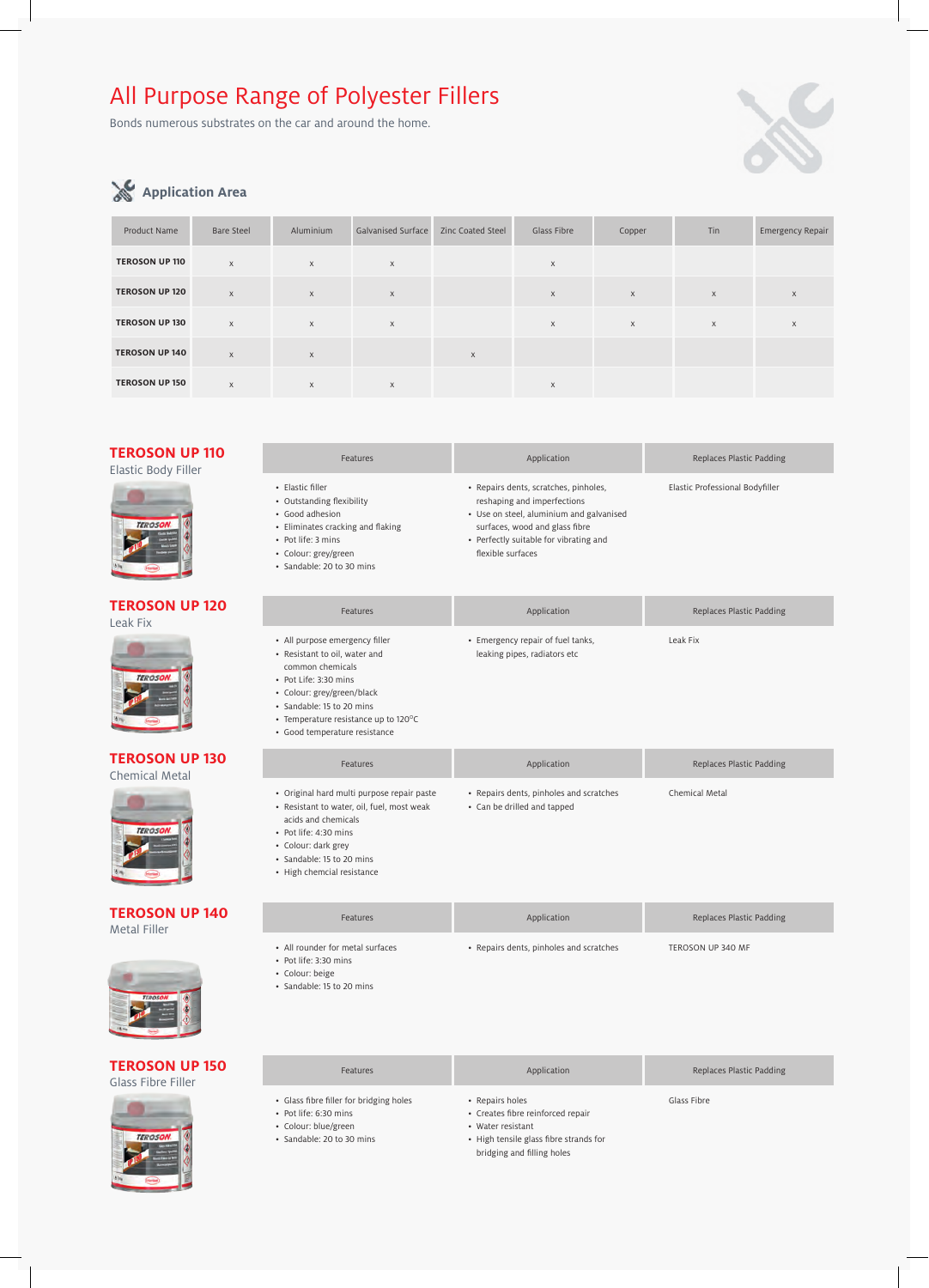# All Purpose Range of Polyester Fillers

Bonds numerous substrates on the car and around the home.



### **Application Area**

| Product Name          | <b>Bare Steel</b> | Aluminium | <b>Galvanised Surface</b> | <b>Zinc Coated Steel</b> | Glass Fibre | Copper   | Tin          | Emergency Repair |
|-----------------------|-------------------|-----------|---------------------------|--------------------------|-------------|----------|--------------|------------------|
| <b>TEROSON UP 110</b> | $\times$          | $\times$  | $\times$                  |                          | X           |          |              |                  |
| <b>TEROSON UP 120</b> | $\mathsf{X}$      | $\times$  | $\times$                  |                          | $\times$    | X        | $\mathsf X$  | $\times$         |
| <b>TEROSON UP 130</b> | $\mathsf{X}$      | $\times$  | $\times$                  |                          | $\times$    | $\times$ | $\mathsf{X}$ | $\times$         |
| <b>TEROSON UP 140</b> | $\times$          | $\times$  |                           | $\times$                 |             |          |              |                  |
| <b>TEROSON UP 150</b> | $\mathsf{X}$      | $\times$  | $\mathsf{X}$              |                          | X           |          |              |                  |

|  | TEROSON UP 110 |  |  |
|--|----------------|--|--|
|  |                |  |  |

Elastic Body Filler



#### **TEROSON UP 120** Leak Fix



**TEROSON UP 130** Chemical Metal



#### **TEROSON UP 140** Metal Filler



#### **TEROSON UP 150** Glass Fibre Filler



| Features                                                                                                                                                                                                                                         | Application                                                                                                                                                                                                       | Replaces Plastic Padding        |  |
|--------------------------------------------------------------------------------------------------------------------------------------------------------------------------------------------------------------------------------------------------|-------------------------------------------------------------------------------------------------------------------------------------------------------------------------------------------------------------------|---------------------------------|--|
| · Elastic filler<br>• Outstanding flexibility<br>• Good adhesion<br>• Eliminates cracking and flaking<br>• Pot life: 3 mins<br>· Colour: grey/green<br>· Sandable: 20 to 30 mins                                                                 | · Repairs dents, scratches, pinholes,<br>reshaping and imperfections<br>· Use on steel, aluminium and galvanised<br>surfaces, wood and glass fibre<br>• Perfectly suitable for vibrating and<br>flexible surfaces | Elastic Professional Bodyfiller |  |
| Features                                                                                                                                                                                                                                         | Application                                                                                                                                                                                                       | Replaces Plastic Padding        |  |
| • All purpose emergency filler<br>• Resistant to oil, water and<br>common chemicals<br>• Pot Life: 3:30 mins<br>· Colour: grey/green/black<br>· Sandable: 15 to 20 mins<br>• Temperature resistance up to 120°C<br>· Good temperature resistance | • Emergency repair of fuel tanks,<br>leaking pipes, radiators etc                                                                                                                                                 | Leak Fix                        |  |
| Features                                                                                                                                                                                                                                         | Application                                                                                                                                                                                                       | Replaces Plastic Padding        |  |
| · Original hard multi purpose repair paste<br>• Resistant to water, oil, fuel, most weak<br>acids and chemicals<br>• Pot life: 4:30 mins<br>• Colour: dark grey<br>· Sandable: 15 to 20 mins<br>• High chemcial resistance                       | • Repairs dents, pinholes and scratches<br>• Can be drilled and tapped                                                                                                                                            | Chemical Metal                  |  |
| <b>Features</b>                                                                                                                                                                                                                                  | Application                                                                                                                                                                                                       | Replaces Plastic Padding        |  |
| • All rounder for metal surfaces                                                                                                                                                                                                                 | • Repairs dents, pinholes and scratches                                                                                                                                                                           | TEROSON UP 340 MF               |  |

- Pot life: 3:30 mins
- Colour: beige
- Sandable: 15 to 20 mins

| <b>Features</b>                                                                                                       | Application                                                                                                                                       | Replaces Plastic Padding |
|-----------------------------------------------------------------------------------------------------------------------|---------------------------------------------------------------------------------------------------------------------------------------------------|--------------------------|
| • Glass fibre filler for bridging holes<br>· Pot life: 6:30 mins<br>• Colour: blue/green<br>· Sandable: 20 to 30 mins | • Repairs holes<br>• Creates fibre reinforced repair<br>• Water resistant<br>• High tensile glass fibre strands for<br>bridging and filling holes | Glass Fibre              |